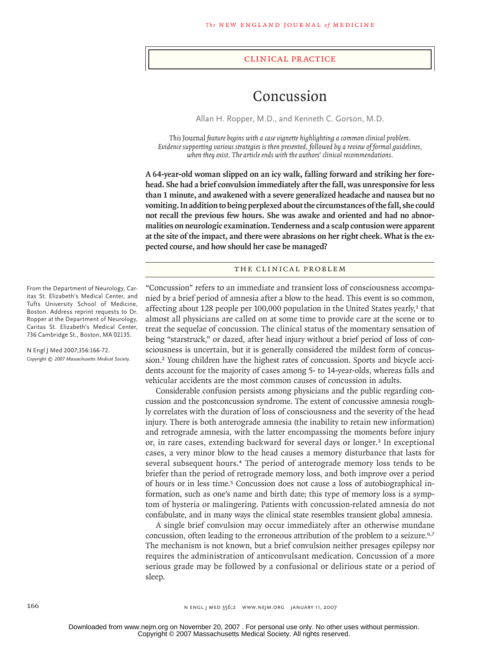#### clinical practice

# Concussion

Allan H. Ropper, M.D., and Kenneth C. Gorson, M.D.

*This* Journal *feature begins with a case vignette highlighting a common clinical problem. Evidence supporting various strategies is then presented, followed by a review of formal guidelines, when they exist. The article ends with the authors' clinical recommendations.* 

**A 64-year-old woman slipped on an icy walk, falling forward and striking her forehead. She had a brief convulsion immediately after the fall, was unresponsive for less than 1 minute, and awakened with a severe generalized headache and nausea but no vomiting. In addition to being perplexed about the circumstances of the fall, she could not recall the previous few hours. She was awake and oriented and had no abnormalities on neurologic examination. Tenderness and a scalp contusion were apparent at the site of the impact, and there were abrasions on her right cheek. What is the expected course, and how should her case be managed?**

## THE CLINICAL PROBLEM

"Concussion" refers to an immediate and transient loss of consciousness accompanied by a brief period of amnesia after a blow to the head. This event is so common, affecting about 128 people per 100,000 population in the United States yearly, $1$  that almost all physicians are called on at some time to provide care at the scene or to treat the sequelae of concussion. The clinical status of the momentary sensation of being "starstruck," or dazed, after head injury without a brief period of loss of consciousness is uncertain, but it is generally considered the mildest form of concussion.<sup>2</sup> Young children have the highest rates of concussion. Sports and bicycle accidents account for the majority of cases among 5- to 14-year-olds, whereas falls and vehicular accidents are the most common causes of concussion in adults.

Considerable confusion persists among physicians and the public regarding concussion and the postconcussion syndrome. The extent of concussive amnesia roughly correlates with the duration of loss of consciousness and the severity of the head injury. There is both anterograde amnesia (the inability to retain new information) and retrograde amnesia, with the latter encompassing the moments before injury or, in rare cases, extending backward for several days or longer.<sup>3</sup> In exceptional cases, a very minor blow to the head causes a memory disturbance that lasts for several subsequent hours.4 The period of anterograde memory loss tends to be briefer than the period of retrograde memory loss, and both improve over a period of hours or in less time.5 Concussion does not cause a loss of autobiographical information, such as one's name and birth date; this type of memory loss is a symptom of hysteria or malingering. Patients with concussion-related amnesia do not confabulate, and in many ways the clinical state resembles transient global amnesia.

A single brief convulsion may occur immediately after an otherwise mundane concussion, often leading to the erroneous attribution of the problem to a seizure.<sup>6,7</sup> The mechanism is not known, but a brief convulsion neither presages epilepsy nor requires the administration of anticonvulsant medication. Concussion of a more serious grade may be followed by a confusional or delirious state or a period of sleep.

From the Department of Neurology, Caritas St. Elizabeth's Medical Center, and Tufts University School of Medicine, Boston. Address reprint requests to Dr. Ropper at the Department of Neurology, Caritas St. Elizabeth's Medical Center, 736 Cambridge St., Boston, MA 02135.

N Engl J Med 2007;356:166-72. *Copyright © 2007 Massachusetts Medical Society.*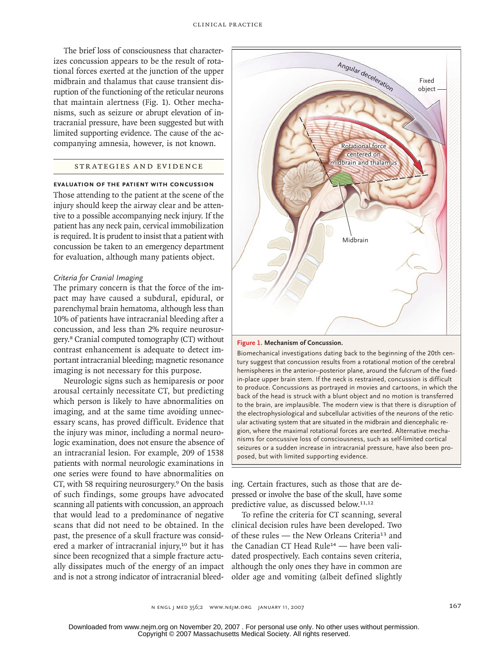The brief loss of consciousness that characterizes concussion appears to be the result of rotational forces exerted at the junction of the upper midbrain and thalamus that cause transient disruption of the functioning of the reticular neurons that maintain alertness (Fig. 1). Other mechanisms, such as seizure or abrupt elevation of intracranial pressure, have been suggested but with limited supporting evidence. The cause of the accompanying amnesia, however, is not known.

# STR ATEGIES AND EVIDENCE

# **Evaluation of the Patient with Concussion**

Those attending to the patient at the scene of the injury should keep the airway clear and be attentive to a possible accompanying neck injury. If the patient has any neck pain, cervical immobilization is required. It is prudent to insist that a patient with concussion be taken to an emergency department for evaluation, although many patients object.

#### *Criteria for Cranial Imaging*

The primary concern is that the force of the impact may have caused a subdural, epidural, or parenchymal brain hematoma, although less than 10% of patients have intracranial bleeding after a concussion, and less than 2% require neurosurgery.8 Cranial computed tomography (CT) without contrast enhancement is adequate to detect important intracranial bleeding; magnetic resonance imaging is not necessary for this purpose.

Neurologic signs such as hemiparesis or poor arousal certainly necessitate CT, but predicting which person is likely to have abnormalities on imaging, and at the same time avoiding unnecessary scans, has proved difficult. Evidence that the injury was minor, including a normal neurologic examination, does not ensure the absence of an intracranial lesion. For example, 209 of 1538 patients with normal neurologic examinations in one series were found to have abnormalities on CT, with 58 requiring neurosurgery.9 On the basis of such findings, some groups have advocated scanning all patients with concussion, an approach that would lead to a predominance of negative scans that did not need to be obtained. In the past, the presence of a skull fracture was considered a marker of intracranial injury,<sup>10</sup> but it has since been recognized that a simple fracture actually dissipates much of the energy of an impact and is not a strong indicator of intracranial bleed-



### **Figure 1. Mechanism of Concussion.**

**COLOR FIGURE** back of the head is struck with a blunt object and no motion is transferred *Draft:* **04** *Date:* **11/22/06** the electrophysiological and subcellular activities of the neurons of the reticgion, where the maximal rotational forces are exerted. Alternative mecha-*Figure #:* **01** seizures or a sudden increase in intracranial pressure, have also been pro-*DE:* posed, but with limited supporting evidence. Biomechanical investigations dating back to the beginning of the 20th century suggest that concussion results from a rotational motion of the cerebral hemispheres in the anterior–posterior plane, around the fulcrum of the fixedin-place upper brain stem. If the neck is restrained, concussion is difficult to produce. Concussions as portrayed in movies and cartoons, in which the to the brain, are implausible. The modern view is that there is disruption of ular activating system that are situated in the midbrain and diencephalic renisms for concussive loss of consciousness, such as self-limited cortical

ing. Certain fractures, such as those that are depressed or involve the base of the skull, have some predictive value, as discussed below.11,12

To refine the criteria for CT scanning, several clinical decision rules have been developed. Two of these rules — the New Orleans Criteria13 and the Canadian CT Head Rule14 — have been validated prospectively. Each contains seven criteria, although the only ones they have in common are older age and vomiting (albeit defined slightly

Copyright © 2007 Massachusetts Medical Society. All rights reserved. Downloaded from www.nejm.org on November 20, 2007 . For personal use only. No other uses without permission.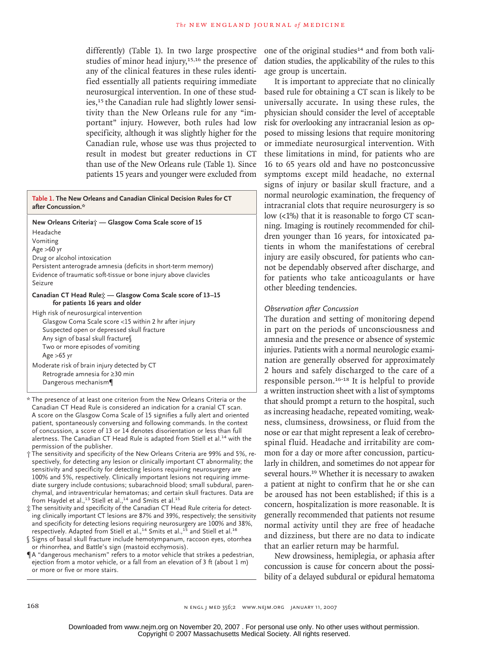differently) (Table 1). In two large prospective studies of minor head injury,<sup>15,16</sup> the presence of any of the clinical features in these rules identified essentially all patients requiring immediate neurosurgical intervention. In one of these studies,<sup>15</sup> the Canadian rule had slightly lower sensitivity than the New Orleans rule for any "important" injury. However, both rules had low specificity, although it was slightly higher for the Canadian rule, whose use was thus projected to result in modest but greater reductions in CT than use of the New Orleans rule (Table 1). Since patients 15 years and younger were excluded from

**Table 1. The New Orleans and Canadian Clinical Decision Rules for CT after Concussion.\***

**New Orleans Criteria† — Glasgow Coma Scale score of 15** Headache Vomiting Age >60 yr Drug or alcohol intoxication Persistent anterograde amnesia (deficits in short-term memory) Evidence of traumatic soft-tissue or bone injury above clavicles Seizure **Canadian CT Head Rule‡ — Glasgow Coma Scale score of 13–15 for patients 16 years and older** High risk of neurosurgical intervention Glasgow Coma Scale score <15 within 2 hr after injury

Suspected open or depressed skull fracture Any sign of basal skull fracture§ Two or more episodes of vomiting Age >65 yr Moderate risk of brain injury detected by CT

Retrograde amnesia for ≥30 min Dangerous mechanism¶

- \* The presence of at least one criterion from the New Orleans Criteria or the Canadian CT Head Rule is considered an indication for a cranial CT scan. A score on the Glasgow Coma Scale of 15 signifies a fully alert and oriented patient, spontaneously conversing and following commands. In the context of concussion, a score of 13 or 14 denotes disorientation or less than full alertness. The Canadian CT Head Rule is adapted from Stiell et al.<sup>14</sup> with the permission of the publisher.
- † The sensitivity and specificity of the New Orleans Criteria are 99% and 5%, respectively, for detecting any lesion or clinically important CT abnormality; the sensitivity and specificity for detecting lesions requiring neurosurgery are 100% and 5%, respectively. Clinically important lesions not requiring immediate surgery include contusions; subarachnoid blood; small subdural, parenchymal, and intraventricular hematomas; and certain skull fractures. Data are from Haydel et al.,<sup>13</sup> Stiell et al.,<sup>14</sup> and Smits et al.<sup>15</sup>
- ‡ The sensitivity and specificity of the Canadian CT Head Rule criteria for detecting clinically important CT lesions are 87% and 39%, respectively; the sensitivity and specificity for detecting lesions requiring neurosurgery are 100% and 38%, respectively. Adapted from Stiell et al.,<sup>14</sup> Smits et al.,<sup>15</sup> and Stiell et al.<sup>16</sup>
- § Signs of basal skull fracture include hemotympanum, raccoon eyes, otorrhea or rhinorrhea, and Battle's sign (mastoid ecchymosis).
- ¶A "dangerous mechanism" refers to a motor vehicle that strikes a pedestrian, ejection from a motor vehicle, or a fall from an elevation of 3 ft (about 1 m) or more or five or more stairs.

one of the original studies<sup>14</sup> and from both validation studies, the applicability of the rules to this age group is uncertain.

It is important to appreciate that no clinically based rule for obtaining a CT scan is likely to be universally accurate. In using these rules, the physician should consider the level of acceptable risk for overlooking any intracranial lesion as opposed to missing lesions that require monitoring or immediate neurosurgical intervention. With these limitations in mind, for patients who are 16 to 65 years old and have no postconcussive symptoms except mild headache, no external signs of injury or basilar skull fracture, and a normal neurologic examination, the frequency of intracranial clots that require neurosurgery is so low (<1%) that it is reasonable to forgo CT scanning. Imaging is routinely recommended for children younger than 16 years, for intoxicated patients in whom the manifestations of cerebral injury are easily obscured, for patients who cannot be dependably observed after discharge, and for patients who take anticoagulants or have other bleeding tendencies.

# *Observation after Concussion*

The duration and setting of monitoring depend in part on the periods of unconsciousness and amnesia and the presence or absence of systemic injuries. Patients with a normal neurologic examination are generally observed for approximately 2 hours and safely discharged to the care of a responsible person.16-18 It is helpful to provide a written instruction sheet with a list of symptoms that should prompt a return to the hospital, such as increasing headache, repeated vomiting, weakness, clumsiness, drowsiness, or fluid from the nose or ear that might represent a leak of cerebrospinal fluid. Headache and irritability are common for a day or more after concussion, particularly in children, and sometimes do not appear for several hours.<sup>19</sup> Whether it is necessary to awaken a patient at night to confirm that he or she can be aroused has not been established; if this is a concern, hospitalization is more reasonable. It is generally recommended that patients not resume normal activity until they are free of headache and dizziness, but there are no data to indicate that an earlier return may be harmful.

New drowsiness, hemiplegia, or aphasia after concussion is cause for concern about the possibility of a delayed subdural or epidural hematoma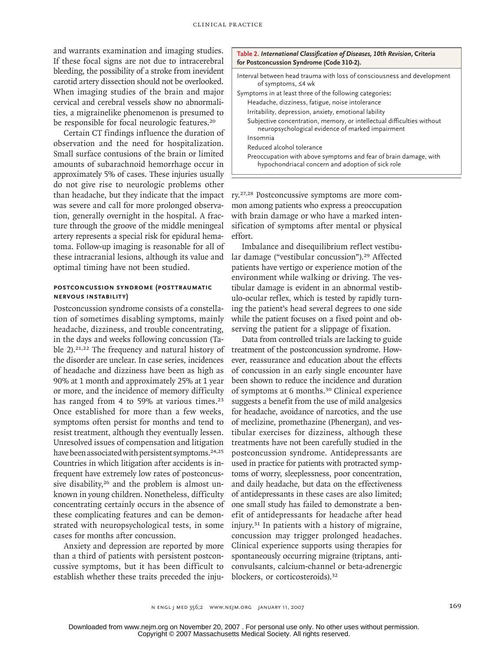and warrants examination and imaging studies. If these focal signs are not due to intracerebral bleeding, the possibility of a stroke from inevident carotid artery dissection should not be overlooked. When imaging studies of the brain and major cervical and cerebral vessels show no abnormalities, a migrainelike phenomenon is presumed to be responsible for focal neurologic features.<sup>20</sup>

Certain CT findings influence the duration of observation and the need for hospitalization. Small surface contusions of the brain or limited amounts of subarachnoid hemorrhage occur in approximately 5% of cases. These injuries usually do not give rise to neurologic problems other than headache, but they indicate that the impact was severe and call for more prolonged observation, generally overnight in the hospital. A fracture through the groove of the middle meningeal artery represents a special risk for epidural hematoma. Follow-up imaging is reasonable for all of these intracranial lesions, although its value and optimal timing have not been studied.

# **Postconcussion Syndrome (Posttraumatic Nervous Instability)**

Postconcussion syndrome consists of a constellation of sometimes disabling symptoms, mainly headache, dizziness, and trouble concentrating, in the days and weeks following concussion (Table 2).<sup>21,22</sup> The frequency and natural history of the disorder are unclear. In case series, incidences of headache and dizziness have been as high as 90% at 1 month and approximately 25% at 1 year or more, and the incidence of memory difficulty has ranged from 4 to 59% at various times.<sup>23</sup> Once established for more than a few weeks, symptoms often persist for months and tend to resist treatment, although they eventually lessen. Unresolved issues of compensation and litigation have been associated with persistent symptoms.<sup>24,25</sup> Countries in which litigation after accidents is infrequent have extremely low rates of postconcussive disability,<sup>26</sup> and the problem is almost unknown in young children. Nonetheless, difficulty concentrating certainly occurs in the absence of these complicating features and can be demonstrated with neuropsychological tests, in some cases for months after concussion.

Anxiety and depression are reported by more than a third of patients with persistent postconcussive symptoms, but it has been difficult to establish whether these traits preceded the inju-

| Table 2. International Classification of Diseases, 10th Revision, Criteria<br>for Postconcussion Syndrome (Code 310-2).    |  |  |  |
|----------------------------------------------------------------------------------------------------------------------------|--|--|--|
| Interval between head trauma with loss of consciousness and development<br>of symptoms, ≤4 wk                              |  |  |  |
| Symptoms in at least three of the following categories:                                                                    |  |  |  |
| Headache, dizziness, fatigue, noise intolerance                                                                            |  |  |  |
| Irritability, depression, anxiety, emotional lability                                                                      |  |  |  |
| Subjective concentration, memory, or intellectual difficulties without<br>neuropsychological evidence of marked impairment |  |  |  |
| Insomnia                                                                                                                   |  |  |  |
| Reduced alcohol tolerance                                                                                                  |  |  |  |
| Preoccupation with above symptoms and fear of brain damage, with<br>hypochondriacal concern and adoption of sick role      |  |  |  |

ry.27,28 Postconcussive symptoms are more common among patients who express a preoccupation with brain damage or who have a marked intensification of symptoms after mental or physical effort.

Imbalance and disequilibrium reflect vestibular damage ("vestibular concussion").29 Affected patients have vertigo or experience motion of the environment while walking or driving. The vestibular damage is evident in an abnormal vestibulo-ocular reflex, which is tested by rapidly turning the patient's head several degrees to one side while the patient focuses on a fixed point and observing the patient for a slippage of fixation.

Data from controlled trials are lacking to guide treatment of the postconcussion syndrome. However, reassurance and education about the effects of concussion in an early single encounter have been shown to reduce the incidence and duration of symptoms at 6 months.30 Clinical experience suggests a benefit from the use of mild analgesics for headache, avoidance of narcotics, and the use of meclizine, promethazine (Phenergan), and vestibular exercises for dizziness, although these treatments have not been carefully studied in the postconcussion syndrome. Antidepressants are used in practice for patients with protracted symptoms of worry, sleeplessness, poor concentration, and daily headache, but data on the effectiveness of antidepressants in these cases are also limited; one small study has failed to demonstrate a benefit of antidepressants for headache after head injury.31 In patients with a history of migraine, concussion may trigger prolonged headaches. Clinical experience supports using therapies for spontaneously occurring migraine (triptans, anticonvulsants, calcium-channel or beta-adrenergic blockers, or corticosteroids).<sup>32</sup>

n engl j med 356;2 www.nejm.org january 11, 2007 169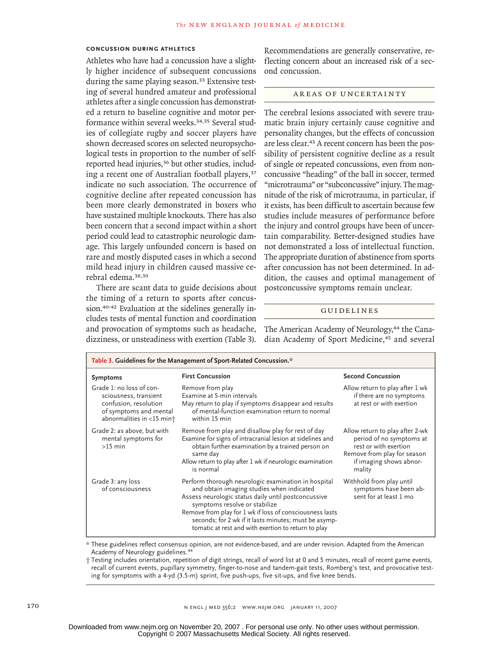## **Concussion during Athletics**

Athletes who have had a concussion have a slightly higher incidence of subsequent concussions during the same playing season.<sup>33</sup> Extensive testing of several hundred amateur and professional athletes after a single concussion has demonstrated a return to baseline cognitive and motor performance within several weeks.<sup>34,35</sup> Several studies of collegiate rugby and soccer players have shown decreased scores on selected neuropsychological tests in proportion to the number of selfreported head injuries,<sup>36</sup> but other studies, including a recent one of Australian football players,<sup>37</sup> indicate no such association. The occurrence of cognitive decline after repeated concussion has been more clearly demonstrated in boxers who have sustained multiple knockouts. There has also been concern that a second impact within a short period could lead to catastrophic neurologic damage. This largely unfounded concern is based on rare and mostly disputed cases in which a second mild head injury in children caused massive cerebral edema.38,39

There are scant data to guide decisions about the timing of a return to sports after concussion.40-42 Evaluation at the sidelines generally includes tests of mental function and coordination and provocation of symptoms such as headache, dizziness, or unsteadiness with exertion (Table 3). Recommendations are generally conservative, reflecting concern about an increased risk of a second concussion.

### AREAS OF UNCERTAINTY

The cerebral lesions associated with severe traumatic brain injury certainly cause cognitive and personality changes, but the effects of concussion are less clear.<sup>43</sup> A recent concern has been the possibility of persistent cognitive decline as a result of single or repeated concussions, even from nonconcussive "heading" of the ball in soccer, termed "microtrauma" or "subconcussive" injury. The magnitude of the risk of microtrauma, in particular, if it exists, has been difficult to ascertain because few studies include measures of performance before the injury and control groups have been of uncertain comparability. Better-designed studies have not demonstrated a loss of intellectual function. The appropriate duration of abstinence from sports after concussion has not been determined. In addition, the causes and optimal management of postconcussive symptoms remain unclear.

#### **GUIDELINES**

The American Academy of Neurology,<sup>44</sup> the Canadian Academy of Sport Medicine,<sup>45</sup> and several

| Table 3. Guidelines for the Management of Sport-Related Concussion.*                                                              |                                                                                                                                                                                                                                                                                                                                                                      |                                                                                                                                                          |  |
|-----------------------------------------------------------------------------------------------------------------------------------|----------------------------------------------------------------------------------------------------------------------------------------------------------------------------------------------------------------------------------------------------------------------------------------------------------------------------------------------------------------------|----------------------------------------------------------------------------------------------------------------------------------------------------------|--|
| <b>Symptoms</b>                                                                                                                   | <b>First Concussion</b>                                                                                                                                                                                                                                                                                                                                              | <b>Second Concussion</b>                                                                                                                                 |  |
| Grade 1: no loss of con-<br>sciousness, transient<br>confusion, resolution<br>of symptoms and mental<br>abnormalities in <15 min+ | Remove from play<br>Examine at 5-min intervals<br>May return to play if symptoms disappear and results<br>of mental-function examination return to normal<br>within 15 min                                                                                                                                                                                           | Allow return to play after 1 wk<br>if there are no symptoms<br>at rest or with exertion                                                                  |  |
| Grade 2: as above, but with<br>mental symptoms for<br>$>15$ min                                                                   | Remove from play and disallow play for rest of day<br>Examine for signs of intracranial lesion at sidelines and<br>obtain further examination by a trained person on<br>same day<br>Allow return to play after 1 wk if neurologic examination<br>is normal                                                                                                           | Allow return to play after 2-wk<br>period of no symptoms at<br>rest or with exertion<br>Remove from play for season<br>if imaging shows abnor-<br>mality |  |
| Grade 3: any loss<br>of consciousness                                                                                             | Perform thorough neurologic examination in hospital<br>and obtain imaging studies when indicated<br>Assess neurologic status daily until postconcussive<br>symptoms resolve or stabilize<br>Remove from play for 1 wk if loss of consciousness lasts<br>seconds; for 2 wk if it lasts minutes; must be asymp-<br>tomatic at rest and with exertion to return to play | Withhold from play until<br>symptoms have been ab-<br>sent for at least 1 mo                                                                             |  |

\* These guidelines reflect consensus opinion, are not evidence-based, and are under revision. Adapted from the American Academy of Neurology guidelines. 44

† Testing includes orientation, repetition of digit strings, recall of word list at 0 and 5 minutes, recall of recent game events, recall of current events, pupillary symmetry, finger-to-nose and tandem-gait tests, Romberg's test, and provocative testing for symptoms with a 4-yd (3.5-m) sprint, five push-ups, five sit-ups, and five knee bends.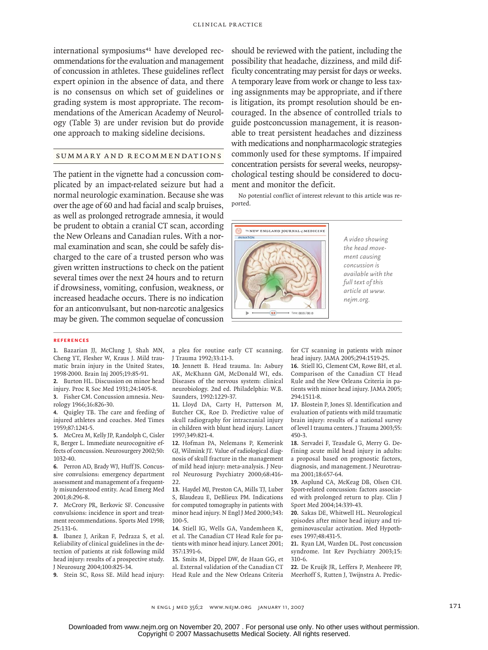international symposiums<sup>41</sup> have developed recommendations for the evaluation and management of concussion in athletes. These guidelines reflect expert opinion in the absence of data, and there is no consensus on which set of guidelines or grading system is most appropriate. The recommendations of the American Academy of Neurology (Table 3) are under revision but do provide one approach to making sideline decisions.

# SUMMARY AND RECOMMENDATIONS

The patient in the vignette had a concussion complicated by an impact-related seizure but had a normal neurologic examination. Because she was over the age of 60 and had facial and scalp bruises, as well as prolonged retrograde amnesia, it would be prudent to obtain a cranial CT scan, according the New Orleans and Canadian rules. With a normal examination and scan, she could be safely discharged to the care of a trusted person who was given written instructions to check on the patient several times over the next 24 hours and to return if drowsiness, vomiting, confusion, weakness, or increased headache occurs. There is no indication for an anticonvulsant, but non-narcotic analgesics may be given. The common sequelae of concussion should be reviewed with the patient, including the possibility that headache, dizziness, and mild difficulty concentrating may persist for days or weeks. A temporary leave from work or change to less taxing assignments may be appropriate, and if there is litigation, its prompt resolution should be encouraged. In the absence of controlled trials to guide postconcussion management, it is reasonable to treat persistent headaches and dizziness with medications and nonpharmacologic strategies commonly used for these symptoms. If impaired concentration persists for several weeks, neuropsychological testing should be considered to document and monitor the deficit.

No potential conflict of interest relevant to this article was reported.



*A video showing the head movement causing concussion is available with the full text of this article at www. nejm.org.*

#### **References**

Bazarian JJ, McClung J, Shah MN, **1.** Cheng YT, Flesher W, Kraus J. Mild traumatic brain injury in the United States, 1998-2000. Brain Inj 2005;19:85-91.

Burton HL. Discussion on minor head **2.** injury. Proc R Soc Med 1931;24:1405-8.

Fisher CM. Concussion amnesia. Neu-**3.** rology 1966;16:826-30.

Quigley TB. The care and feeding of **4.** injured athletes and coaches. Med Times 1959;87:1241-5.

McCrea M, Kelly JP, Randolph C, Cisler **5.** R, Berger L. Immediate neurocognitive effects of concussion. Neurosurgery 2002;50: 1032-40.

Perron AD, Brady WJ, Huff JS. Concus-**6.** sive convulsions: emergency department assessment and management of a frequently misunderstood entity. Acad Emerg Med 2001;8:296-8.

McCrory PR, Berkovic SF. Concussive **7.** convulsions: incidence in sport and treatment recommendations. Sports Med 1998; 25:131-6.

Ibanez J, Arikan F, Pedraza S, et al. **8.** Reliability of clinical guidelines in the detection of patients at risk following mild head injury: results of a prospective study. J Neurosurg 2004;100:825-34.

Stein SC, Ross SE. Mild head injury: **9.**

a plea for routine early CT scanning. J Trauma 1992;33:11-3.

10. Jennett B. Head trauma. In: Asbury AK, McKhann GM, McDonald WI, eds. Diseases of the nervous system: clinical neurobiology. 2nd ed. Philadelphia: W.B. Saunders, 1992:1229-37.

11. Lloyd DA, Carty H, Patterson M, Butcher CK, Roe D. Predictive value of skull radiography for intracranial injury in children with blunt head injury. Lancet 1997;349:821-4.

12. Hofman PA, Nelemans P, Kemerink GJ, Wilmink JT. Value of radiological diagnosis of skull fracture in the management of mild head injury: meta-analysis. J Neurol Neurosurg Psychiatry 2000;68:416- 22.

13. Haydel MJ, Preston CA, Mills TJ, Luber S, Blaudeau E, DeBlieux PM. Indications for computed tomography in patients with minor head injury. N Engl J Med 2000;343: 100-5.

14. Stiell IG, Wells GA, Vandemheen K, et al. The Canadian CT Head Rule for patients with minor head injury. Lancet 2001; 357:1391-6.

15. Smits M, Dippel DW, de Haan GG, et al. External validation of the Canadian CT Head Rule and the New Orleans Criteria

for CT scanning in patients with minor head injury. JAMA 2005;294:1519-25.

16. Stiell IG, Clement CM, Rowe BH, et al. Comparison of the Canadian CT Head Rule and the New Orleans Criteria in patients with minor head injury. JAMA 2005; 294:1511-8.

Blostein P, Jones SJ. Identification and **17.** evaluation of patients with mild traumatic brain injury: results of a national survey of level I trauma centers. J Trauma 2003;55: 450-3.

18. Servadei F, Teasdale G, Merry G. Defining acute mild head injury in adults: a proposal based on prognostic factors, diagnosis, and management. J Neurotrauma 2001;18:657-64.

Asplund CA, McKeag DB, Olsen CH. **19.** Sport-related concussion: factors associated with prolonged return to play. Clin J Sport Med 2004;14:339-43.

20. Sakas DE, Whitwell HL. Neurological episodes after minor head injury and trigeminovascular activation. Med Hypotheses 1997;48:431-5.

21. Ryan LM, Warden DL. Post concussion syndrome. Int Rev Psychiatry 2003;15: 310-6.

**22.** De Kruijk JR, Leffers P, Menheere PP, Meerhoff S, Rutten J, Twijnstra A. Predic-

n engl j med 356;2 www.nejm.org january 11, 2007 171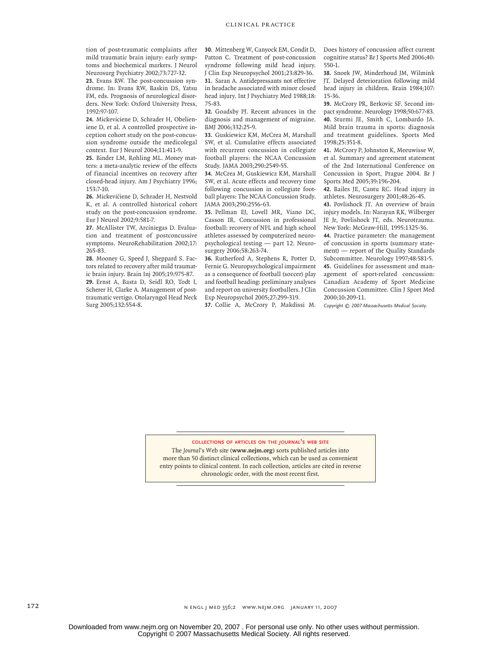tion of post-traumatic complaints after mild traumatic brain injury: early symptoms and biochemical markers. J Neurol Neurosurg Psychiatry 2002;73:727-32.

Evans RW. The post-concussion syn-**23.** drome. In: Evans RW, Baskin DS, Yatsu FM, eds. Prognosis of neurological disorders. New York: Oxford University Press, 1992:97-107.

24. Mickeviciene D, Schrader H, Obelieniene D, et al. A controlled prospective inception cohort study on the post-concussion syndrome outside the medicolegal context. Eur J Neurol 2004;11:411-9.

25. Binder LM, Rohling ML. Money matters: a meta-analytic review of the effects of financial incentives on recovery after closed-head injury. Am J Psychiatry 1996; 153:7-10.

26. Mickevičiene D, Schrader H, Nestvold K, et al. A controlled historical cohort study on the post-concussion syndrome. Eur J Neurol 2002;9:581-7.

27. McAllister TW, Arciniegas D. Evaluation and treatment of postconcussive symptoms. NeuroRehabilitation 2002;17: 265-83.

28. Mooney G, Speed J, Sheppard S. Factors related to recovery after mild traumatic brain injury. Brain Inj 2005;19:975-87. Ernst A, Basta D, Seidl RO, Todt I, **29.** Scherer H, Clarke A. Management of posttraumatic vertigo. Otolaryngol Head Neck Surg 2005;132:554-8.

30. Mittenberg W, Canyock EM, Condit D, Patton C. Treatment of post-concussion syndrome following mild head injury. J Clin Exp Neuropsychol 2001;23:829-36. 31. Saran A. Antidepressants not effective in headache associated with minor closed head injury. Int J Psychiatry Med 1988;18: 75-83.

32. Goadsby PJ. Recent advances in the diagnosis and management of migraine. BMJ 2006;332:25-9.

33. Guskiewicz KM, McCrea M, Marshall SW, et al. Cumulative effects associated with recurrent concussion in collegiate football players: the NCAA Concussion Study. JAMA 2003;290:2549-55.

34. McCrea M, Guskiewicz KM, Marshall SW, et al. Acute effects and recovery time following concussion in collegiate football players: The NCAA Concussion Study. JAMA 2003;290:2556-63.

Pellman EJ, Lovell MR, Viano DC, **35.** Casson IR. Concussion in professional football: recovery of NFL and high school athletes assessed by computerized neuropsychological testing — part 12. Neurosurgery 2006;58:263-74.

36. Rutherford A, Stephens R, Potter D, Fernie G. Neuropsychological impairment as a consequence of football (soccer) play and football heading: preliminary analyses and report on university footballers. J Clin Exp Neuropsychol 2005;27:299-319.

37. Collie A, McCrory P, Makdissi M.

Does history of concussion affect current cognitive status? Br J Sports Med 2006;40: 550-1.

Snoek JW, Minderhoud JM, Wilmink **38.** JT. Delayed deterioration following mild head injury in children. Brain 1984;107: 15-36.

McCrory PR, Berkovic SF. Second im-**39.** pact syndrome. Neurology 1998;50:677-83. 40. Sturmi JE, Smith C, Lombardo JA. Mild brain trauma in sports: diagnosis and treatment guidelines. Sports Med 1998;25:351-8.

41. McCrory P, Johnston K, Meeuwisse W, et al. Summary and agreement statement of the 2nd International Conference on Concussion in Sport, Prague 2004. Br J Sports Med 2005;39:196-204.

42. Bailes JE, Cantu RC. Head injury in athletes. Neurosurgery 2001;48:26-45.

43. Povlishock JT. An overview of brain injury models. In: Narayan RK, Wilberger JE Jr, Povlishock JT, eds. Neurotrauma. New York: McGraw-Hill, 1995:1325-36.

44. Practice parameter: the management of concussion in sports (summary statement) — report of the Quality Standards Subcommittee. Neurology 1997;48:581-5. Guidelines for assessment and man-**45.** agement of sport-related concussion: Canadian Academy of Sport Medicine Concussion Committee. Clin J Sport Med 2000;10:209-11.

*Copyright © 2007 Massachusetts Medical Society.*

#### **collections of articles on the** *journal***'s web site**

The *Journal*'s Web site (**www.nejm.org**) sorts published articles into more than 50 distinct clinical collections, which can be used as convenient entry points to clinical content. In each collection, articles are cited in reverse chronologic order, with the most recent first.